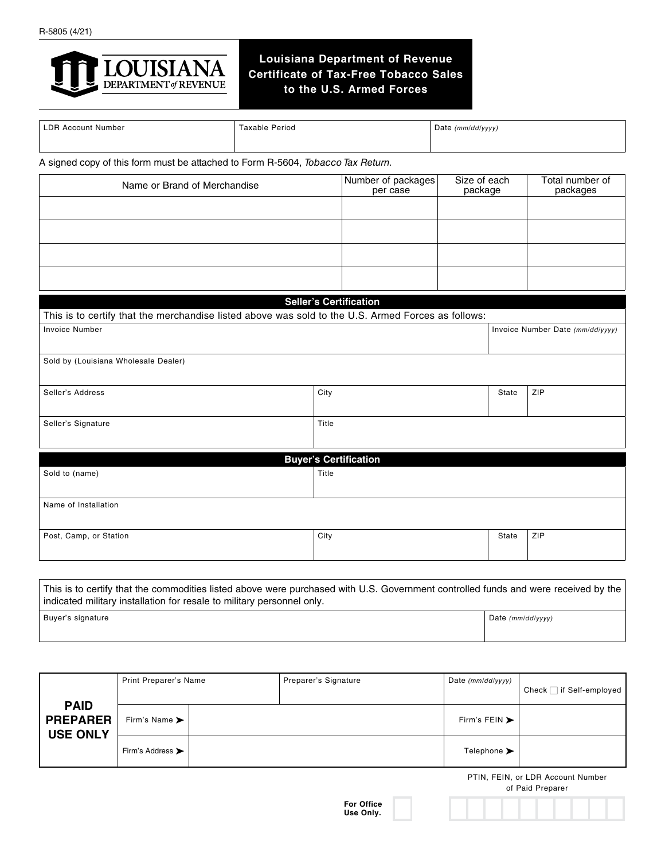

## **Louisiana Department of Revenue Certificate of Tax-Free Tobacco Sales to the U.S. Armed Forces**

| <b>LDR Account Number</b> | Taxable Period | Date (mm/dd/yyyy) |  |
|---------------------------|----------------|-------------------|--|
|                           |                |                   |  |

A signed copy of this form must be attached to Form R-5604, *Tobacco Tax Return.*

| Name or Brand of Merchandise                                                                                                        | Number of packages<br>per case | Size of each<br>package |       | Total number of<br>packages      |  |  |  |  |
|-------------------------------------------------------------------------------------------------------------------------------------|--------------------------------|-------------------------|-------|----------------------------------|--|--|--|--|
|                                                                                                                                     |                                |                         |       |                                  |  |  |  |  |
|                                                                                                                                     |                                |                         |       |                                  |  |  |  |  |
|                                                                                                                                     |                                |                         |       |                                  |  |  |  |  |
|                                                                                                                                     |                                |                         |       |                                  |  |  |  |  |
|                                                                                                                                     |                                |                         |       |                                  |  |  |  |  |
| <b>Seller's Certification</b><br>This is to certify that the merchandise listed above was sold to the U.S. Armed Forces as follows: |                                |                         |       |                                  |  |  |  |  |
| <b>Invoice Number</b>                                                                                                               |                                |                         |       | Invoice Number Date (mm/dd/yyyy) |  |  |  |  |
|                                                                                                                                     |                                |                         |       |                                  |  |  |  |  |
| Sold by (Louisiana Wholesale Dealer)                                                                                                |                                |                         |       |                                  |  |  |  |  |
| Seller's Address                                                                                                                    | City                           |                         | State | ZIP                              |  |  |  |  |
| Seller's Signature                                                                                                                  | Title                          |                         |       |                                  |  |  |  |  |
| <b>Buyer's Certification</b>                                                                                                        |                                |                         |       |                                  |  |  |  |  |
| Sold to (name)                                                                                                                      | Title                          |                         |       |                                  |  |  |  |  |
| Name of Installation                                                                                                                |                                |                         |       |                                  |  |  |  |  |
| Post, Camp, or Station                                                                                                              | City                           |                         | State | ZIP                              |  |  |  |  |
|                                                                                                                                     |                                |                         |       |                                  |  |  |  |  |

This is to certify that the commodities listed above were purchased with U.S. Government controlled funds and were received by the indicated military installation for resale to military personnel only. Buyer's signature Date *(mm/dd/yyyy)* Date *(mm/dd/yyyy)* 

|                                                   | Print Preparer's Name             |  | Preparer's Signature | Date $(mm/dd/yyyy)$               | Check $\Box$ if Self-employed |
|---------------------------------------------------|-----------------------------------|--|----------------------|-----------------------------------|-------------------------------|
| <b>PAID</b><br><b>PREPARER</b><br><b>USE ONLY</b> | Firm's Name $\blacktriangleright$ |  |                      | Firm's FEIN $\blacktriangleright$ |                               |
|                                                   | Firm's Address >                  |  |                      | Telephone $\blacktriangleright$   |                               |

PTIN, FEIN, or LDR Account Number



of Paid Preparer